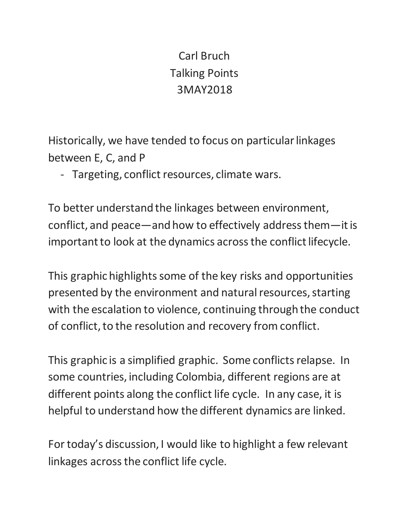# Carl Bruch Talking Points 3MAY2018

Historically, we have tended to focus on particular linkages between E, C, and P

- Targeting, conflict resources, climate wars.

To better understand the linkages between environment, conflict, and peace—and how to effectively address them—it is important to look at the dynamics across the conflict lifecycle.

This graphic highlights some of the key risks and opportunities presented by the environment and natural resources, starting with the escalation to violence, continuing through the conduct of conflict, to the resolution and recovery from conflict.

This graphic is a simplified graphic. Some conflicts relapse. In some countries, including Colombia, different regions are at different points along the conflict life cycle. In any case, it is helpful to understand how the different dynamics are linked.

For today's discussion, I would like to highlight a few relevant linkages across the conflict life cycle.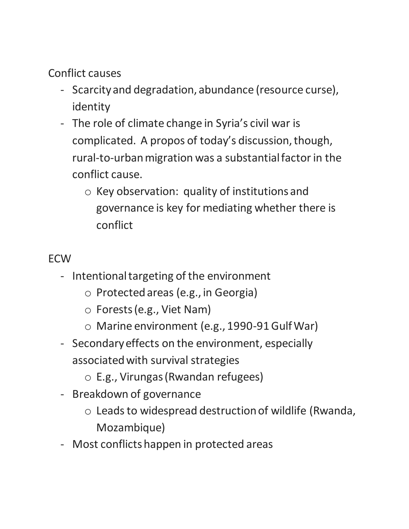Conflict causes

- Scarcity and degradation, abundance (resource curse), identity
- The role of climate change in Syria's civil war is complicated. A propos of today's discussion, though, rural-to-urban migration was a substantial factor in the conflict cause.
	- o Key observation: quality of institutions and governance is key for mediating whether there is conflict

## ECW

- Intentional targeting of the environment
	- o Protected areas (e.g., in Georgia)
	- o Forests (e.g., Viet Nam)
	- o Marine environment (e.g., 1990-91 Gulf War)
- Secondary effects on the environment, especially associated with survival strategies
	- o E.g., Virungas (Rwandan refugees)
- Breakdown of governance
	- o Leads to widespread destruction of wildlife (Rwanda, Mozambique)
- Most conflicts happen in protected areas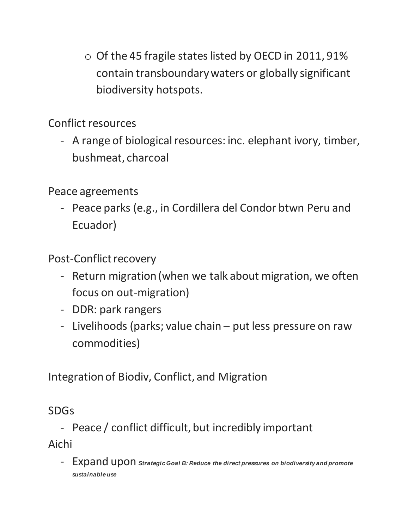o Of the 45 fragile states listed by OECD in 2011, 91% contain transboundary waters or globally significant biodiversity hotspots.

Conflict resources

- A range of biological resources: inc. elephant ivory, timber, bushmeat, charcoal

Peace agreements

- Peace parks (e.g., in Cordillera del Condor btwn Peru and Ecuador)

Post-Conflict recovery

- Return migration (when we talk about migration, we often focus on out-migration)
- DDR: park rangers
- Livelihoods (parks; value chain put less pressure on raw commodities)

Integration of Biodiv, Conflict, and Migration

### SDGs

- Peace / conflict difficult, but incredibly important Aichi

- Expand upon *Strategic Goal B: Reduce the direct pressures on biodiversity and promote sustainable use*